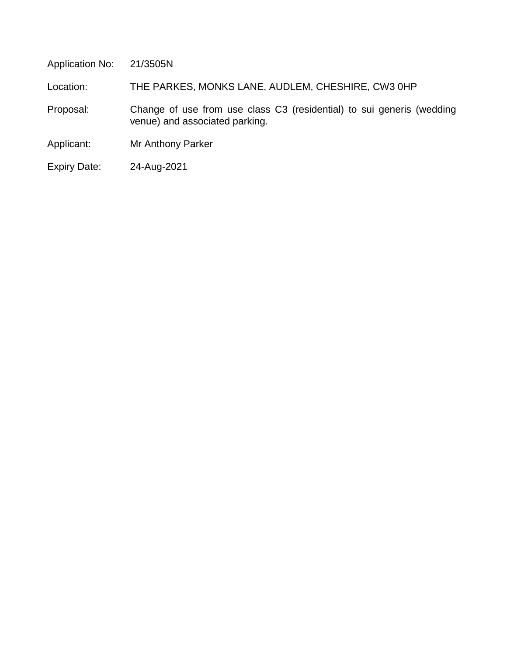Application No: 21/3505N

Location: THE PARKES, MONKS LANE, AUDLEM, CHESHIRE, CW3 0HP

 Proposal: Change of use from use class C3 (residential) to sui generis (wedding venue) and associated parking.

Applicant: Mr Anthony Parker

Expiry Date: 24-Aug-2021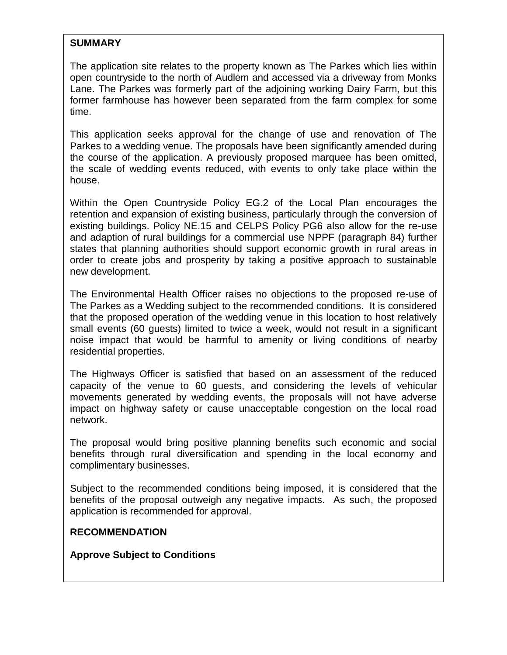# **SUMMARY**

The application site relates to the property known as The Parkes which lies within open countryside to the north of Audlem and accessed via a driveway from Monks Lane. The Parkes was formerly part of the adjoining working Dairy Farm, but this former farmhouse has however been separated from the farm complex for some time.

This application seeks approval for the change of use and renovation of The Parkes to a wedding venue. The proposals have been significantly amended during the course of the application. A previously proposed marquee has been omitted, the scale of wedding events reduced, with events to only take place within the house.

Within the Open Countryside Policy EG.2 of the Local Plan encourages the retention and expansion of existing business, particularly through the conversion of existing buildings. Policy NE.15 and CELPS Policy PG6 also allow for the re-use and adaption of rural buildings for a commercial use NPPF (paragraph 84) further states that planning authorities should support economic growth in rural areas in order to create jobs and prosperity by taking a positive approach to sustainable new development.

The Environmental Health Officer raises no objections to the proposed re-use of The Parkes as a Wedding subject to the recommended conditions. It is considered that the proposed operation of the wedding venue in this location to host relatively small events (60 guests) limited to twice a week, would not result in a significant noise impact that would be harmful to amenity or living conditions of nearby residential properties.

The Highways Officer is satisfied that based on an assessment of the reduced capacity of the venue to 60 guests, and considering the levels of vehicular movements generated by wedding events, the proposals will not have adverse impact on highway safety or cause unacceptable congestion on the local road network.

The proposal would bring positive planning benefits such economic and social benefits through rural diversification and spending in the local economy and complimentary businesses.

Subject to the recommended conditions being imposed, it is considered that the benefits of the proposal outweigh any negative impacts. As such, the proposed application is recommended for approval.

# **RECOMMENDATION**

**Approve Subject to Conditions**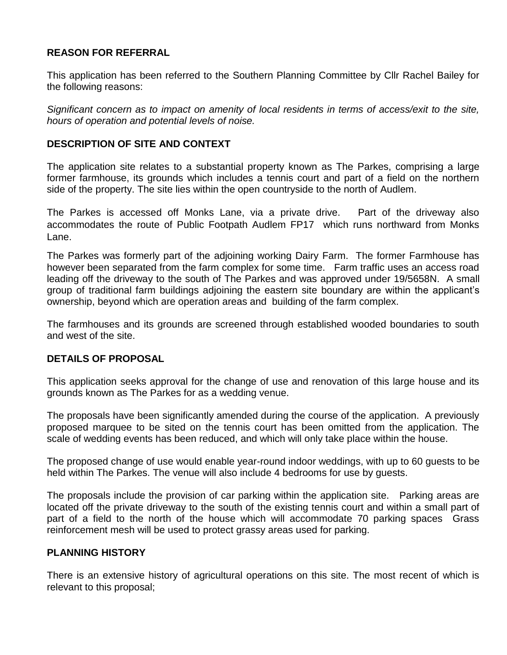# **REASON FOR REFERRAL**

This application has been referred to the Southern Planning Committee by Cllr Rachel Bailey for the following reasons:

*Significant concern as to impact on amenity of local residents in terms of access/exit to the site, hours of operation and potential levels of noise.*

# **DESCRIPTION OF SITE AND CONTEXT**

The application site relates to a substantial property known as The Parkes, comprising a large former farmhouse, its grounds which includes a tennis court and part of a field on the northern side of the property. The site lies within the open countryside to the north of Audlem.

The Parkes is accessed off Monks Lane, via a private drive. Part of the driveway also accommodates the route of Public Footpath Audlem FP17 which runs northward from Monks Lane.

The Parkes was formerly part of the adjoining working Dairy Farm. The former Farmhouse has however been separated from the farm complex for some time. Farm traffic uses an access road leading off the driveway to the south of The Parkes and was approved under 19/5658N. A small group of traditional farm buildings adjoining the eastern site boundary are within the applicant's ownership, beyond which are operation areas and building of the farm complex.

The farmhouses and its grounds are screened through established wooded boundaries to south and west of the site.

# **DETAILS OF PROPOSAL**

This application seeks approval for the change of use and renovation of this large house and its grounds known as The Parkes for as a wedding venue.

The proposals have been significantly amended during the course of the application. A previously proposed marquee to be sited on the tennis court has been omitted from the application. The scale of wedding events has been reduced, and which will only take place within the house.

The proposed change of use would enable year-round indoor weddings, with up to 60 guests to be held within The Parkes. The venue will also include 4 bedrooms for use by guests.

The proposals include the provision of car parking within the application site. Parking areas are located off the private driveway to the south of the existing tennis court and within a small part of part of a field to the north of the house which will accommodate 70 parking spaces Grass reinforcement mesh will be used to protect grassy areas used for parking.

# **PLANNING HISTORY**

There is an extensive history of agricultural operations on this site. The most recent of which is relevant to this proposal;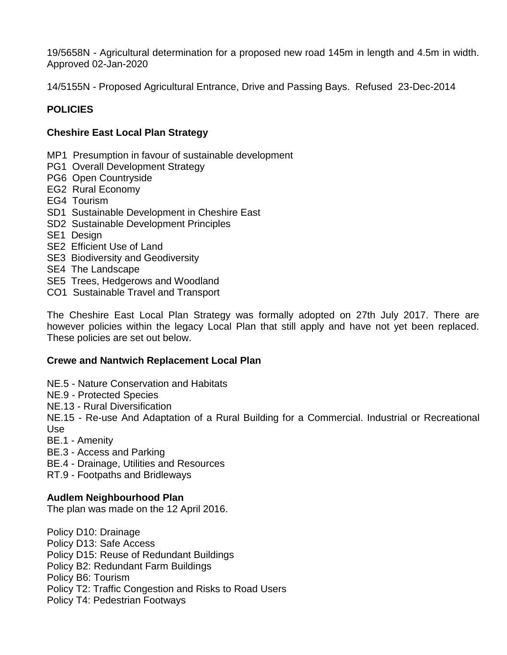19/5658N - Agricultural determination for a proposed new road 145m in length and 4.5m in width. Approved 02-Jan-2020

14/5155N - Proposed Agricultural Entrance, Drive and Passing Bays. Refused 23-Dec-2014

# **POLICIES**

# **Cheshire East Local Plan Strategy**

- MP1 Presumption in favour of sustainable development
- PG1 Overall Development Strategy
- PG6 Open Countryside
- EG2 Rural Economy
- EG4 Tourism
- SD1 Sustainable Development in Cheshire East
- SD2 Sustainable Development Principles
- SE1 Design
- SE2 Efficient Use of Land
- SE3 Biodiversity and Geodiversity
- SE4 The Landscape
- SE5 Trees, Hedgerows and Woodland
- CO1 Sustainable Travel and Transport

The Cheshire East Local Plan Strategy was formally adopted on 27th July 2017. There are however policies within the legacy Local Plan that still apply and have not yet been replaced. These policies are set out below.

# **Crewe and Nantwich Replacement Local Plan**

- NE.5 Nature Conservation and Habitats
- NE.9 Protected Species
- NE.13 Rural Diversification

NE.15 - Re-use And Adaptation of a Rural Building for a Commercial. Industrial or Recreational Use

BE.1 - Amenity

BE.3 - Access and Parking

BE.4 - Drainage, Utilities and Resources

RT.9 - Footpaths and Bridleways

# **Audlem Neighbourhood Plan**

The plan was made on the 12 April 2016.

Policy D10: Drainage Policy D13: Safe Access Policy D15: Reuse of Redundant Buildings Policy B2: Redundant Farm Buildings Policy B6: Tourism Policy T2: Traffic Congestion and Risks to Road Users Policy T4: Pedestrian Footways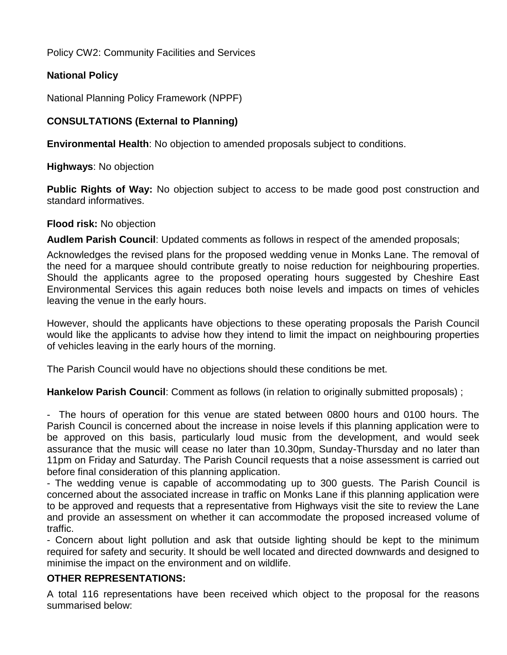Policy CW2: Community Facilities and Services

# **National Policy**

National Planning Policy Framework (NPPF)

# **CONSULTATIONS (External to Planning)**

**Environmental Health**: No objection to amended proposals subject to conditions.

**Highways**: No objection

**Public Rights of Way:** No objection subject to access to be made good post construction and standard informatives.

# **Flood risk:** No objection

**Audlem Parish Council**: Updated comments as follows in respect of the amended proposals;

Acknowledges the revised plans for the proposed wedding venue in Monks Lane. The removal of the need for a marquee should contribute greatly to noise reduction for neighbouring properties. Should the applicants agree to the proposed operating hours suggested by Cheshire East Environmental Services this again reduces both noise levels and impacts on times of vehicles leaving the venue in the early hours.

However, should the applicants have objections to these operating proposals the Parish Council would like the applicants to advise how they intend to limit the impact on neighbouring properties of vehicles leaving in the early hours of the morning.

The Parish Council would have no objections should these conditions be met.

**Hankelow Parish Council**: Comment as follows (in relation to originally submitted proposals) ;

- The hours of operation for this venue are stated between 0800 hours and 0100 hours. The Parish Council is concerned about the increase in noise levels if this planning application were to be approved on this basis, particularly loud music from the development, and would seek assurance that the music will cease no later than 10.30pm, Sunday-Thursday and no later than 11pm on Friday and Saturday. The Parish Council requests that a noise assessment is carried out before final consideration of this planning application.

- The wedding venue is capable of accommodating up to 300 guests. The Parish Council is concerned about the associated increase in traffic on Monks Lane if this planning application were to be approved and requests that a representative from Highways visit the site to review the Lane and provide an assessment on whether it can accommodate the proposed increased volume of traffic.

- Concern about light pollution and ask that outside lighting should be kept to the minimum required for safety and security. It should be well located and directed downwards and designed to minimise the impact on the environment and on wildlife.

# **OTHER REPRESENTATIONS:**

A total 116 representations have been received which object to the proposal for the reasons summarised below: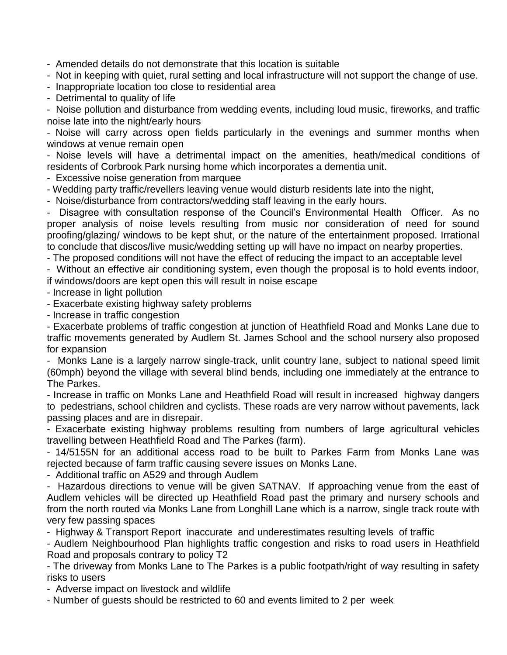- Amended details do not demonstrate that this location is suitable

- Not in keeping with quiet, rural setting and local infrastructure will not support the change of use.

- Inappropriate location too close to residential area

- Detrimental to quality of life

- Noise pollution and disturbance from wedding events, including loud music, fireworks, and traffic noise late into the night/early hours

- Noise will carry across open fields particularly in the evenings and summer months when windows at venue remain open

- Noise levels will have a detrimental impact on the amenities, heath/medical conditions of residents of Corbrook Park nursing home which incorporates a dementia unit.

- Excessive noise generation from marquee

- Wedding party traffic/revellers leaving venue would disturb residents late into the night,

- Noise/disturbance from contractors/wedding staff leaving in the early hours.

- Disagree with consultation response of the Council's Environmental Health Officer. As no proper analysis of noise levels resulting from music nor consideration of need for sound proofing/glazing/ windows to be kept shut, or the nature of the entertainment proposed. Irrational to conclude that discos/live music/wedding setting up will have no impact on nearby properties.

- The proposed conditions will not have the effect of reducing the impact to an acceptable level

- Without an effective air conditioning system, even though the proposal is to hold events indoor, if windows/doors are kept open this will result in noise escape

- Increase in light pollution
- Exacerbate existing highway safety problems
- Increase in traffic congestion

- Exacerbate problems of traffic congestion at junction of Heathfield Road and Monks Lane due to traffic movements generated by Audlem St. James School and the school nursery also proposed for expansion

- Monks Lane is a largely narrow single-track, unlit country lane, subject to national speed limit (60mph) beyond the village with several blind bends, including one immediately at the entrance to The Parkes.

- Increase in traffic on Monks Lane and Heathfield Road will result in increased highway dangers to pedestrians, school children and cyclists. These roads are very narrow without pavements, lack passing places and are in disrepair.

- Exacerbate existing highway problems resulting from numbers of large agricultural vehicles travelling between Heathfield Road and The Parkes (farm).

- 14/5155N for an additional access road to be built to Parkes Farm from Monks Lane was rejected because of farm traffic causing severe issues on Monks Lane.

- Additional traffic on A529 and through Audlem

- Hazardous directions to venue will be given SATNAV. If approaching venue from the east of Audlem vehicles will be directed up Heathfield Road past the primary and nursery schools and from the north routed via Monks Lane from Longhill Lane which is a narrow, single track route with very few passing spaces

- Highway & Transport Report inaccurate and underestimates resulting levels of traffic

- Audlem Neighbourhood Plan highlights traffic congestion and risks to road users in Heathfield Road and proposals contrary to policy T2

- The driveway from Monks Lane to The Parkes is a public footpath/right of way resulting in safety risks to users

- Adverse impact on livestock and wildlife

- Number of guests should be restricted to 60 and events limited to 2 per week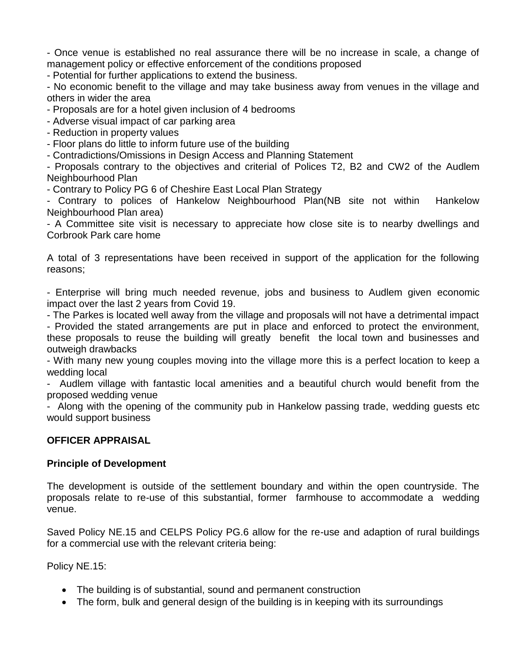- Once venue is established no real assurance there will be no increase in scale, a change of management policy or effective enforcement of the conditions proposed

- Potential for further applications to extend the business.

- No economic benefit to the village and may take business away from venues in the village and others in wider the area

- Proposals are for a hotel given inclusion of 4 bedrooms

- Adverse visual impact of car parking area

- Reduction in property values

- Floor plans do little to inform future use of the building

- Contradictions/Omissions in Design Access and Planning Statement

- Proposals contrary to the objectives and criterial of Polices T2, B2 and CW2 of the Audlem Neighbourhood Plan

- Contrary to Policy PG 6 of Cheshire East Local Plan Strategy

- Contrary to polices of Hankelow Neighbourhood Plan(NB site not within Hankelow Neighbourhood Plan area)

- A Committee site visit is necessary to appreciate how close site is to nearby dwellings and Corbrook Park care home

A total of 3 representations have been received in support of the application for the following reasons;

- Enterprise will bring much needed revenue, jobs and business to Audlem given economic impact over the last 2 years from Covid 19.

- The Parkes is located well away from the village and proposals will not have a detrimental impact

- Provided the stated arrangements are put in place and enforced to protect the environment, these proposals to reuse the building will greatly benefit the local town and businesses and outweigh drawbacks

- With many new young couples moving into the village more this is a perfect location to keep a wedding local

- Audlem village with fantastic local amenities and a beautiful church would benefit from the proposed wedding venue

- Along with the opening of the community pub in Hankelow passing trade, wedding guests etc would support business

# **OFFICER APPRAISAL**

# **Principle of Development**

The development is outside of the settlement boundary and within the open countryside. The proposals relate to re-use of this substantial, former farmhouse to accommodate a wedding venue.

Saved Policy NE.15 and CELPS Policy PG.6 allow for the re-use and adaption of rural buildings for a commercial use with the relevant criteria being:

Policy NE.15:

- The building is of substantial, sound and permanent construction
- The form, bulk and general design of the building is in keeping with its surroundings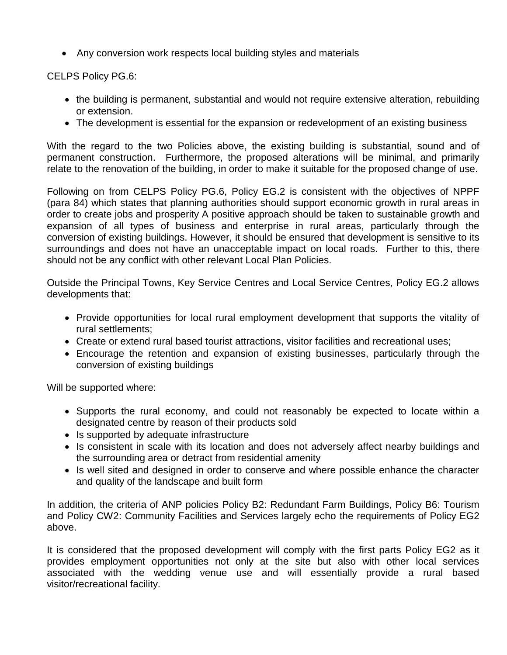Any conversion work respects local building styles and materials

CELPS Policy PG.6:

- the building is permanent, substantial and would not require extensive alteration, rebuilding or extension.
- The development is essential for the expansion or redevelopment of an existing business

With the regard to the two Policies above, the existing building is substantial, sound and of permanent construction. Furthermore, the proposed alterations will be minimal, and primarily relate to the renovation of the building, in order to make it suitable for the proposed change of use.

Following on from CELPS Policy PG.6, Policy EG.2 is consistent with the objectives of NPPF (para 84) which states that planning authorities should support economic growth in rural areas in order to create jobs and prosperity A positive approach should be taken to sustainable growth and expansion of all types of business and enterprise in rural areas, particularly through the conversion of existing buildings. However, it should be ensured that development is sensitive to its surroundings and does not have an unacceptable impact on local roads. Further to this, there should not be any conflict with other relevant Local Plan Policies.

Outside the Principal Towns, Key Service Centres and Local Service Centres, Policy EG.2 allows developments that:

- Provide opportunities for local rural employment development that supports the vitality of rural settlements;
- Create or extend rural based tourist attractions, visitor facilities and recreational uses;
- Encourage the retention and expansion of existing businesses, particularly through the conversion of existing buildings

Will be supported where:

- Supports the rural economy, and could not reasonably be expected to locate within a designated centre by reason of their products sold
- Is supported by adequate infrastructure
- Is consistent in scale with its location and does not adversely affect nearby buildings and the surrounding area or detract from residential amenity
- Is well sited and designed in order to conserve and where possible enhance the character and quality of the landscape and built form

In addition, the criteria of ANP policies Policy B2: Redundant Farm Buildings, Policy B6: Tourism and Policy CW2: Community Facilities and Services largely echo the requirements of Policy EG2 above.

It is considered that the proposed development will comply with the first parts Policy EG2 as it provides employment opportunities not only at the site but also with other local services associated with the wedding venue use and will essentially provide a rural based visitor/recreational facility.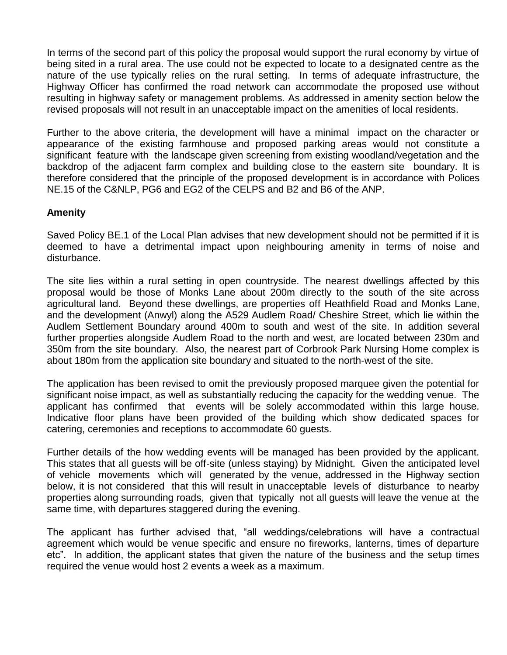In terms of the second part of this policy the proposal would support the rural economy by virtue of being sited in a rural area. The use could not be expected to locate to a designated centre as the nature of the use typically relies on the rural setting. In terms of adequate infrastructure, the Highway Officer has confirmed the road network can accommodate the proposed use without resulting in highway safety or management problems. As addressed in amenity section below the revised proposals will not result in an unacceptable impact on the amenities of local residents.

Further to the above criteria, the development will have a minimal impact on the character or appearance of the existing farmhouse and proposed parking areas would not constitute a significant feature with the landscape given screening from existing woodland/vegetation and the backdrop of the adjacent farm complex and building close to the eastern site boundary. It is therefore considered that the principle of the proposed development is in accordance with Polices NE.15 of the C&NLP, PG6 and EG2 of the CELPS and B2 and B6 of the ANP.

#### **Amenity**

Saved Policy BE.1 of the Local Plan advises that new development should not be permitted if it is deemed to have a detrimental impact upon neighbouring amenity in terms of noise and disturbance.

The site lies within a rural setting in open countryside. The nearest dwellings affected by this proposal would be those of Monks Lane about 200m directly to the south of the site across agricultural land. Beyond these dwellings, are properties off Heathfield Road and Monks Lane, and the development (Anwyl) along the A529 Audlem Road/ Cheshire Street, which lie within the Audlem Settlement Boundary around 400m to south and west of the site. In addition several further properties alongside Audlem Road to the north and west, are located between 230m and 350m from the site boundary. Also, the nearest part of Corbrook Park Nursing Home complex is about 180m from the application site boundary and situated to the north-west of the site.

The application has been revised to omit the previously proposed marquee given the potential for significant noise impact, as well as substantially reducing the capacity for the wedding venue. The applicant has confirmed that events will be solely accommodated within this large house. Indicative floor plans have been provided of the building which show dedicated spaces for catering, ceremonies and receptions to accommodate 60 guests.

Further details of the how wedding events will be managed has been provided by the applicant. This states that all guests will be off-site (unless staying) by Midnight. Given the anticipated level of vehicle movements which will generated by the venue, addressed in the Highway section below, it is not considered that this will result in unacceptable levels of disturbance to nearby properties along surrounding roads, given that typically not all guests will leave the venue at the same time, with departures staggered during the evening.

The applicant has further advised that, "all weddings/celebrations will have a contractual agreement which would be venue specific and ensure no fireworks, lanterns, times of departure etc". In addition, the applicant states that given the nature of the business and the setup times required the venue would host 2 events a week as a maximum.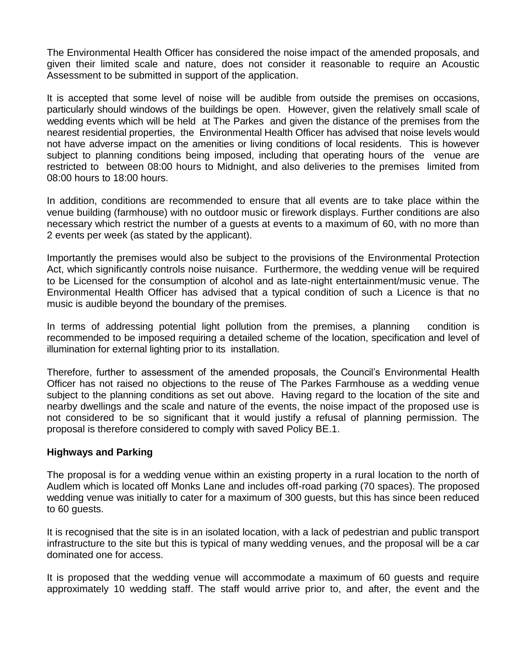The Environmental Health Officer has considered the noise impact of the amended proposals, and given their limited scale and nature, does not consider it reasonable to require an Acoustic Assessment to be submitted in support of the application.

It is accepted that some level of noise will be audible from outside the premises on occasions, particularly should windows of the buildings be open. However, given the relatively small scale of wedding events which will be held at The Parkes and given the distance of the premises from the nearest residential properties, the Environmental Health Officer has advised that noise levels would not have adverse impact on the amenities or living conditions of local residents. This is however subject to planning conditions being imposed, including that operating hours of the venue are restricted to between 08:00 hours to Midnight, and also deliveries to the premises limited from 08:00 hours to 18:00 hours.

In addition, conditions are recommended to ensure that all events are to take place within the venue building (farmhouse) with no outdoor music or firework displays. Further conditions are also necessary which restrict the number of a guests at events to a maximum of 60, with no more than 2 events per week (as stated by the applicant).

Importantly the premises would also be subject to the provisions of the Environmental Protection Act, which significantly controls noise nuisance. Furthermore, the wedding venue will be required to be Licensed for the consumption of alcohol and as late-night entertainment/music venue. The Environmental Health Officer has advised that a typical condition of such a Licence is that no music is audible beyond the boundary of the premises.

In terms of addressing potential light pollution from the premises, a planning condition is recommended to be imposed requiring a detailed scheme of the location, specification and level of illumination for external lighting prior to its installation.

Therefore, further to assessment of the amended proposals, the Council's Environmental Health Officer has not raised no objections to the reuse of The Parkes Farmhouse as a wedding venue subject to the planning conditions as set out above. Having regard to the location of the site and nearby dwellings and the scale and nature of the events, the noise impact of the proposed use is not considered to be so significant that it would justify a refusal of planning permission. The proposal is therefore considered to comply with saved Policy BE.1.

#### **Highways and Parking**

The proposal is for a wedding venue within an existing property in a rural location to the north of Audlem which is located off Monks Lane and includes off-road parking (70 spaces). The proposed wedding venue was initially to cater for a maximum of 300 guests, but this has since been reduced to 60 guests.

It is recognised that the site is in an isolated location, with a lack of pedestrian and public transport infrastructure to the site but this is typical of many wedding venues, and the proposal will be a car dominated one for access.

It is proposed that the wedding venue will accommodate a maximum of 60 guests and require approximately 10 wedding staff. The staff would arrive prior to, and after, the event and the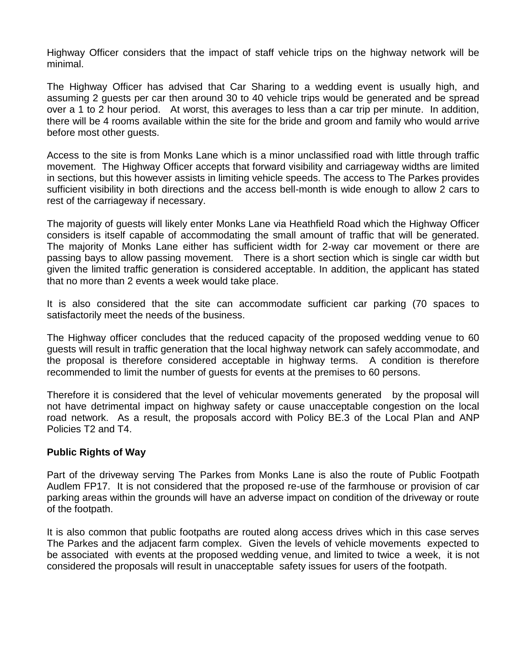Highway Officer considers that the impact of staff vehicle trips on the highway network will be minimal.

The Highway Officer has advised that Car Sharing to a wedding event is usually high, and assuming 2 guests per car then around 30 to 40 vehicle trips would be generated and be spread over a 1 to 2 hour period. At worst, this averages to less than a car trip per minute. In addition, there will be 4 rooms available within the site for the bride and groom and family who would arrive before most other guests.

Access to the site is from Monks Lane which is a minor unclassified road with little through traffic movement. The Highway Officer accepts that forward visibility and carriageway widths are limited in sections, but this however assists in limiting vehicle speeds. The access to The Parkes provides sufficient visibility in both directions and the access bell-month is wide enough to allow 2 cars to rest of the carriageway if necessary.

The majority of guests will likely enter Monks Lane via Heathfield Road which the Highway Officer considers is itself capable of accommodating the small amount of traffic that will be generated. The majority of Monks Lane either has sufficient width for 2-way car movement or there are passing bays to allow passing movement. There is a short section which is single car width but given the limited traffic generation is considered acceptable. In addition, the applicant has stated that no more than 2 events a week would take place.

It is also considered that the site can accommodate sufficient car parking (70 spaces to satisfactorily meet the needs of the business.

The Highway officer concludes that the reduced capacity of the proposed wedding venue to 60 guests will result in traffic generation that the local highway network can safely accommodate, and the proposal is therefore considered acceptable in highway terms. A condition is therefore recommended to limit the number of guests for events at the premises to 60 persons.

Therefore it is considered that the level of vehicular movements generated by the proposal will not have detrimental impact on highway safety or cause unacceptable congestion on the local road network. As a result, the proposals accord with Policy BE.3 of the Local Plan and ANP Policies T2 and T4.

# **Public Rights of Way**

Part of the driveway serving The Parkes from Monks Lane is also the route of Public Footpath Audlem FP17. It is not considered that the proposed re-use of the farmhouse or provision of car parking areas within the grounds will have an adverse impact on condition of the driveway or route of the footpath.

It is also common that public footpaths are routed along access drives which in this case serves The Parkes and the adjacent farm complex. Given the levels of vehicle movements expected to be associated with events at the proposed wedding venue, and limited to twice a week, it is not considered the proposals will result in unacceptable safety issues for users of the footpath.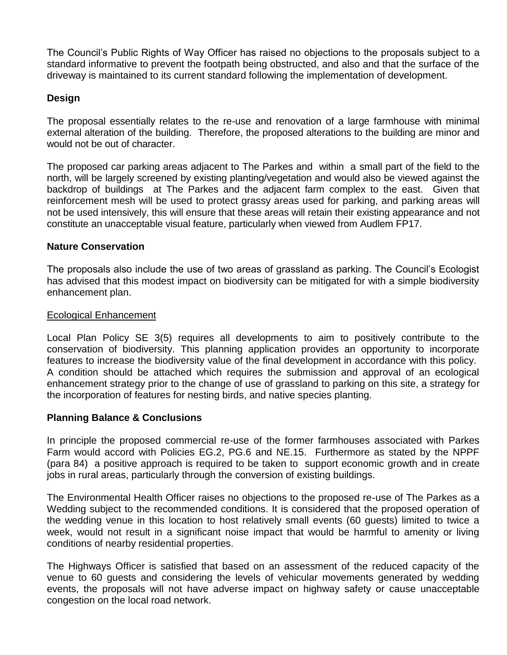The Council's Public Rights of Way Officer has raised no objections to the proposals subject to a standard informative to prevent the footpath being obstructed, and also and that the surface of the driveway is maintained to its current standard following the implementation of development.

# **Design**

The proposal essentially relates to the re-use and renovation of a large farmhouse with minimal external alteration of the building. Therefore, the proposed alterations to the building are minor and would not be out of character.

The proposed car parking areas adjacent to The Parkes and within a small part of the field to the north, will be largely screened by existing planting/vegetation and would also be viewed against the backdrop of buildings at The Parkes and the adjacent farm complex to the east. Given that reinforcement mesh will be used to protect grassy areas used for parking, and parking areas will not be used intensively, this will ensure that these areas will retain their existing appearance and not constitute an unacceptable visual feature, particularly when viewed from Audlem FP17.

# **Nature Conservation**

The proposals also include the use of two areas of grassland as parking. The Council's Ecologist has advised that this modest impact on biodiversity can be mitigated for with a simple biodiversity enhancement plan.

#### Ecological Enhancement

Local Plan Policy SE 3(5) requires all developments to aim to positively contribute to the conservation of biodiversity. This planning application provides an opportunity to incorporate features to increase the biodiversity value of the final development in accordance with this policy. A condition should be attached which requires the submission and approval of an ecological enhancement strategy prior to the change of use of grassland to parking on this site, a strategy for the incorporation of features for nesting birds, and native species planting.

# **Planning Balance & Conclusions**

In principle the proposed commercial re-use of the former farmhouses associated with Parkes Farm would accord with Policies EG.2, PG.6 and NE.15. Furthermore as stated by the NPPF (para 84) a positive approach is required to be taken to support economic growth and in create jobs in rural areas, particularly through the conversion of existing buildings.

The Environmental Health Officer raises no objections to the proposed re-use of The Parkes as a Wedding subject to the recommended conditions. It is considered that the proposed operation of the wedding venue in this location to host relatively small events (60 guests) limited to twice a week, would not result in a significant noise impact that would be harmful to amenity or living conditions of nearby residential properties.

The Highways Officer is satisfied that based on an assessment of the reduced capacity of the venue to 60 guests and considering the levels of vehicular movements generated by wedding events, the proposals will not have adverse impact on highway safety or cause unacceptable congestion on the local road network.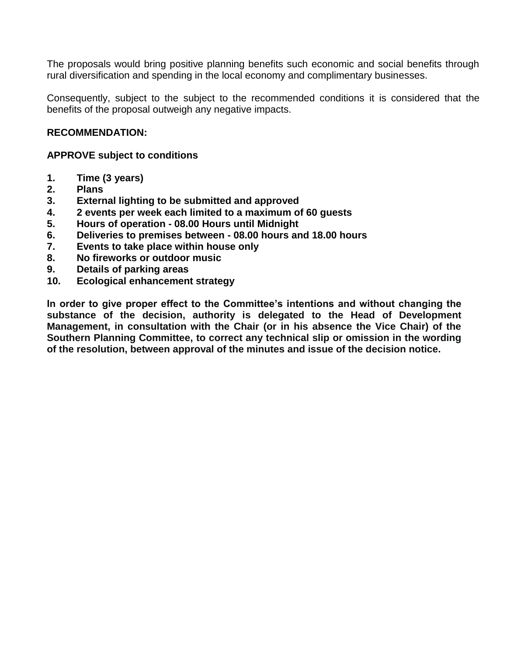The proposals would bring positive planning benefits such economic and social benefits through rural diversification and spending in the local economy and complimentary businesses.

Consequently, subject to the subject to the recommended conditions it is considered that the benefits of the proposal outweigh any negative impacts.

# **RECOMMENDATION:**

# **APPROVE subject to conditions**

- **1. Time (3 years)**
- **2. Plans**
- **3. External lighting to be submitted and approved**
- **4. 2 events per week each limited to a maximum of 60 guests**
- **5. Hours of operation - 08.00 Hours until Midnight**
- **6. Deliveries to premises between - 08.00 hours and 18.00 hours**
- **7. Events to take place within house only**
- **8. No fireworks or outdoor music**
- **9. Details of parking areas**
- **10. Ecological enhancement strategy**

**In order to give proper effect to the Committee's intentions and without changing the substance of the decision, authority is delegated to the Head of Development Management, in consultation with the Chair (or in his absence the Vice Chair) of the Southern Planning Committee, to correct any technical slip or omission in the wording of the resolution, between approval of the minutes and issue of the decision notice.**